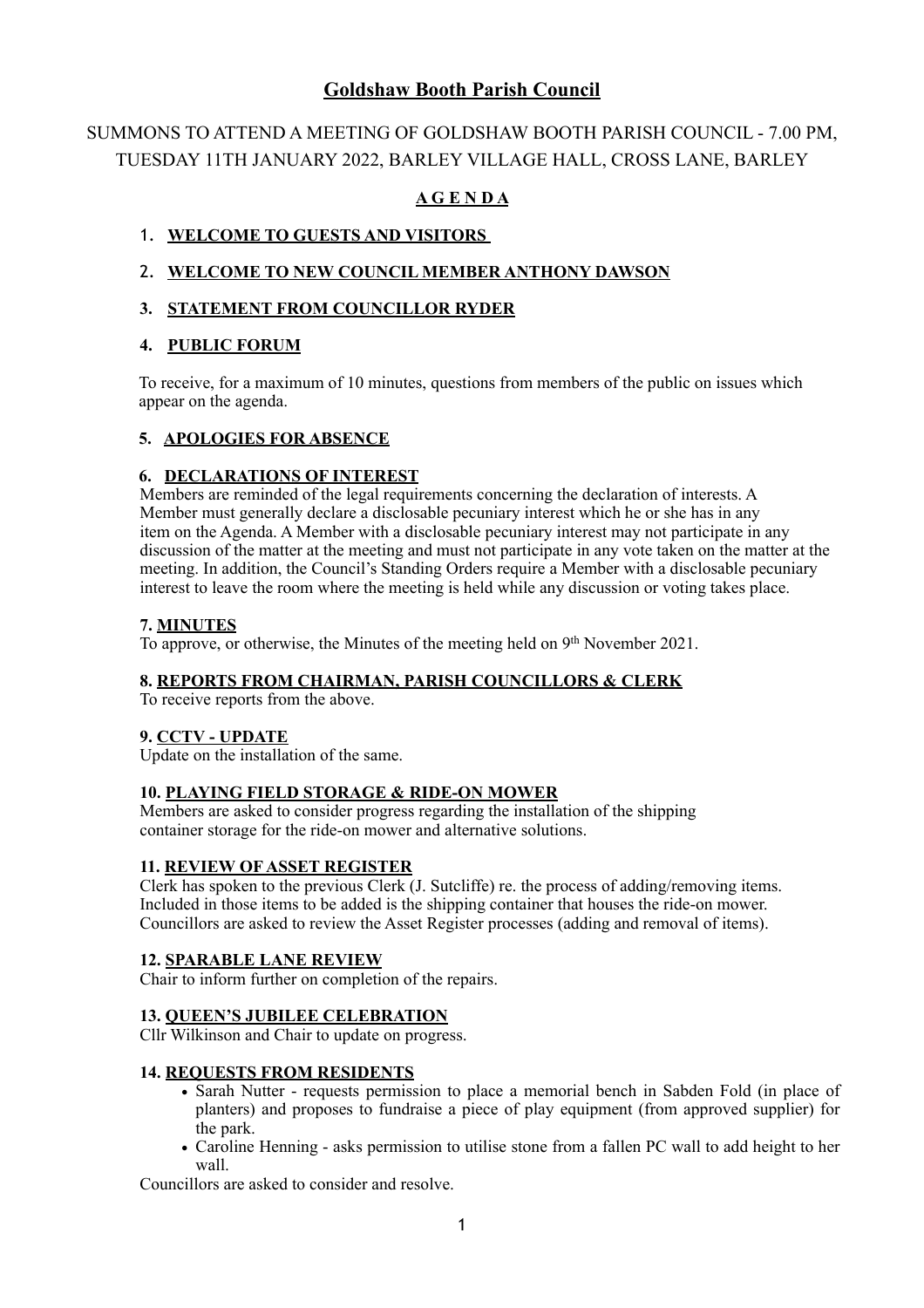## **Goldshaw Booth Parish Council**

# SUMMONS TO ATTEND A MEETING OF GOLDSHAW BOOTH PARISH COUNCIL - 7.00 PM, TUESDAY 11TH JANUARY 2022, BARLEY VILLAGE HALL, CROSS LANE, BARLEY

## **A G E N D A**

## 1. **WELCOME TO GUESTS AND VISITORS**

## 2. **WELCOME TO NEW COUNCIL MEMBER ANTHONY DAWSON**

## **3. STATEMENT FROM COUNCILLOR RYDER**

## **4. PUBLIC FORUM**

To receive, for a maximum of 10 minutes, questions from members of the public on issues which appear on the agenda.

## **5. APOLOGIES FOR ABSENCE**

## **6. DECLARATIONS OF INTEREST**

 Members are reminded of the legal requirements concerning the declaration of interests. A Member must generally declare a disclosable pecuniary interest which he or she has in any item on the Agenda. A Member with a disclosable pecuniary interest may not participate in any discussion of the matter at the meeting and must not participate in any vote taken on the matter at the meeting. In addition, the Council's Standing Orders require a Member with a disclosable pecuniary interest to leave the room where the meeting is held while any discussion or voting takes place.

## **7. MINUTES**

To approve, or otherwise, the Minutes of the meeting held on 9th November 2021.

#### **8. REPORTS FROM CHAIRMAN, PARISH COUNCILLORS & CLERK**

To receive reports from the above.

#### **9. CCTV - UPDATE**

Update on the installation of the same.

#### **10. PLAYING FIELD STORAGE & RIDE-ON MOWER**

Members are asked to consider progress regarding the installation of the shipping container storage for the ride-on mower and alternative solutions.

#### **11. REVIEW OF ASSET REGISTER**

Clerk has spoken to the previous Clerk (J. Sutcliffe) re. the process of adding/removing items. Included in those items to be added is the shipping container that houses the ride-on mower. Councillors are asked to review the Asset Register processes (adding and removal of items).

#### **12. SPARABLE LANE REVIEW**

Chair to inform further on completion of the repairs.

#### **13. QUEEN'S JUBILEE CELEBRATION**

Cllr Wilkinson and Chair to update on progress.

#### **14. REQUESTS FROM RESIDENTS**

- Sarah Nutter requests permission to place a memorial bench in Sabden Fold (in place of planters) and proposes to fundraise a piece of play equipment (from approved supplier) for the park.
- **•** Caroline Henning asks permission to utilise stone from a fallen PC wall to add height to her wall.

Councillors are asked to consider and resolve.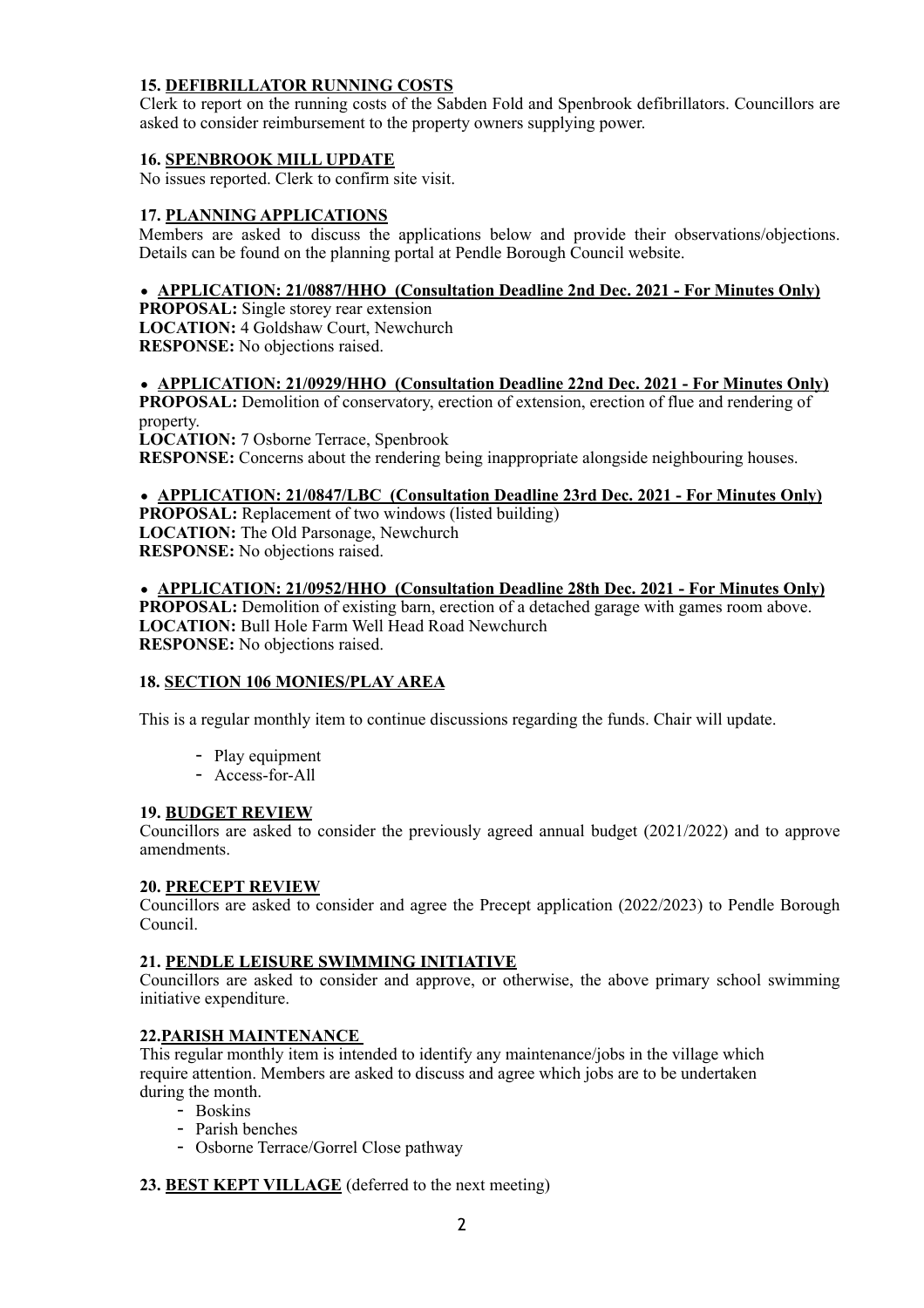## **15. DEFIBRILLATOR RUNNING COSTS**

 Clerk to report on the running costs of the Sabden Fold and Spenbrook defibrillators. Councillors are asked to consider reimbursement to the property owners supplying power.

#### **16. SPENBROOK MILL UPDATE**

No issues reported. Clerk to confirm site visit.

#### **17. PLANNING APPLICATIONS**

Members are asked to discuss the applications below and provide their observations/objections. Details can be found on the planning portal at Pendle Borough Council website.

### • **APPLICATION: 21/0887/HHO (Consultation Deadline 2nd Dec. 2021 - For Minutes Only)**

**PROPOSAL:** Single storey rear extension **LOCATION:** 4 Goldshaw Court, Newchurch **RESPONSE:** No objections raised.

#### • **APPLICATION: 21/0929/HHO (Consultation Deadline 22nd Dec. 2021 - For Minutes Only)**

**PROPOSAL:** Demolition of conservatory, erection of extension, erection of flue and rendering of property.

**LOCATION:** 7 Osborne Terrace, Spenbrook **RESPONSE:** Concerns about the rendering being inappropriate alongside neighbouring houses.

### • **APPLICATION: 21/0847/LBC (Consultation Deadline 23rd Dec. 2021 - For Minutes Only)**

**PROPOSAL:** Replacement of two windows (listed building) **LOCATION:** The Old Parsonage, Newchurch **RESPONSE:** No objections raised.

• **APPLICATION: 21/0952/HHO (Consultation Deadline 28th Dec. 2021 - For Minutes Only) PROPOSAL:** Demolition of existing barn, erection of a detached garage with games room above. **LOCATION:** Bull Hole Farm Well Head Road Newchurch **RESPONSE:** No objections raised.

#### **18. SECTION 106 MONIES/PLAY AREA**

This is a regular monthly item to continue discussions regarding the funds. Chair will update.

- Play equipment
- Access-for-All

#### **19. BUDGET REVIEW**

Councillors are asked to consider the previously agreed annual budget (2021/2022) and to approve amendments.

#### **20. PRECEPT REVIEW**

Councillors are asked to consider and agree the Precept application (2022/2023) to Pendle Borough Council.

#### **21. PENDLE LEISURE SWIMMING INITIATIVE**

Councillors are asked to consider and approve, or otherwise, the above primary school swimming initiative expenditure.

### **22.PARISH MAINTENANCE**

 This regular monthly item is intended to identify any maintenance/jobs in the village which require attention. Members are asked to discuss and agree which jobs are to be undertaken during the month.

- Boskins
- Parish benches
- Osborne Terrace/Gorrel Close pathway

#### **23. BEST KEPT VILLAGE** (deferred to the next meeting)